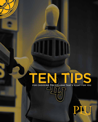# EN TIPS

FOR CHOOSING THE COLLEGE THAT'S RIGHT FOR YOU

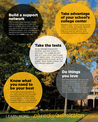### Build a support network

This includes your teachers, family, friends, and others you know who went to college, all of whom can help you search for and learn more about different colleges. And, colleges want recommendations from high school teachers who **really** know you.

#### Take advantage of your school's college center

Whether your school has an actual center, college and career advisors, or school counselors, they can help you explore options, send transcripts and find scholarships.

### Take the tests

Some colleges require and consider your test scores for admission. Try to take the SAT and ACT your junior year to keep your options open. This gives you the opportunity to study up for a retake! \*Note: Some schools, like PLU, are test optional!

### Know what you need to be your best

What sort of environment do you learn best in? Do you want guaranteed small class sizes? Lots of opportunities to study abroad? Options to do research projects with your professors?

### Do things you love

Don't do activities just because you were told they would look good on your college résumé. Instead, do the things you're passionate about and explain in your college applications why you're passionate about them.

## LEARN MORE: *plu.edu/admission*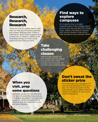### Research, Research, Research

There are a lot of college search sites that can help you find good matches, and college websites have TONS of information about their programs and student life. In addition, spend some time deep-diving into their social media and YouTube accounts.

### Find ways to explore campuses

An in-person tour is a really important part of the college search process, but you can also find virtual tours, videos, and ways to connect with current students that will all help you get to know campus better.

### Take challenging classes

Taking tough classes will help prepare you for college coursework. Plus many colleges, PLU included, will consider your weighted GPA.

### When you visit, prep some questions

Visiting a campus for the first time can be a bit overwhelming, and you will always be asked if you have any questions. Write 3-4 questions in advance that are important to you and your interests.

### Don't sweat the sticker price

Don't eliminate any colleges from your list just because of their price tag. You may be surprised at the scholarships you're offered and the resources available to reduce the cost of attendance.

*PLU admits students without regard to race, color, national origin, creed, religion, age, gender, sexual orientation, disabling conditions, financial resources or any other status protected by law.*